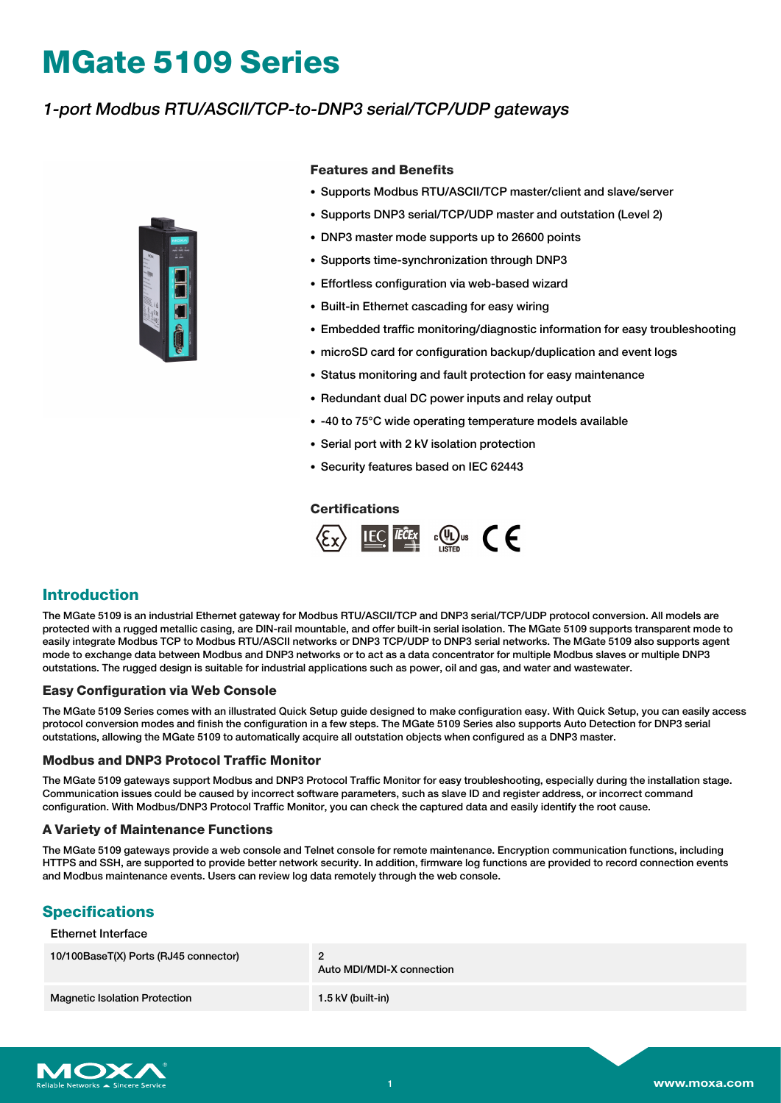# **MGate 5109 Series**

## 1-port Modbus RTU/ASCII/TCP-to-DNP3 serial/TCP/UDP gateways



#### **Features and Benefits**

- Supports Modbus RTU/ASCII/TCP master/client and slave/server
- Supports DNP3 serial/TCP/UDP master and outstation (Level 2)
- DNP3 master mode supports up to 26600 points
- Supports time-synchronization through DNP3
- Effortless configuration via web-based wizard
- Built-in Ethernet cascading for easy wiring
- Embedded traffic monitoring/diagnostic information for easy troubleshooting
- microSD card for configuration backup/duplication and event logs
- Status monitoring and fault protection for easy maintenance
- Redundant dual DC power inputs and relay output
- -40 to 75°C wide operating temperature models available
- Serial port with 2 kV isolation protection
- Security features based on IEC 62443

#### **Certifications**



## **Introduction**

The MGate 5109 is an industrial Ethernet gateway for Modbus RTU/ASCII/TCP and DNP3 serial/TCP/UDP protocol conversion. All models are protected with a rugged metallic casing, are DIN-rail mountable, and offer built-in serial isolation. The MGate 5109 supports transparent mode to easily integrate Modbus TCP to Modbus RTU/ASCII networks or DNP3 TCP/UDP to DNP3 serial networks. The MGate 5109 also supports agent mode to exchange data between Modbus and DNP3 networks or to act as a data concentrator for multiple Modbus slaves or multiple DNP3 outstations. The rugged design is suitable for industrial applications such as power, oil and gas, and water and wastewater.

#### **Easy Configuration via Web Console**

The MGate 5109 Series comes with an illustrated Quick Setup guide designed to make configuration easy. With Quick Setup, you can easily access protocol conversion modes and finish the configuration in a few steps. The MGate 5109 Series also supports Auto Detection for DNP3 serial outstations, allowing the MGate 5109 to automatically acquire all outstation objects when configured as a DNP3 master.

#### **Modbus and DNP3 Protocol Traffic Monitor**

The MGate 5109 gateways support Modbus and DNP3 Protocol Traffic Monitor for easy troubleshooting, especially during the installation stage. Communication issues could be caused by incorrect software parameters, such as slave ID and register address, or incorrect command configuration. With Modbus/DNP3 Protocol Traffic Monitor, you can check the captured data and easily identify the root cause.

#### **A Variety of Maintenance Functions**

The MGate 5109 gateways provide a web console and Telnet console for remote maintenance. Encryption communication functions, including HTTPS and SSH, are supported to provide better network security. In addition, firmware log functions are provided to record connection events and Modbus maintenance events. Users can review log data remotely through the web console.

## **Specifications**

Ethernet Interface

| 10/100BaseT(X) Ports (RJ45 connector) | Auto MDI/MDI-X connection |
|---------------------------------------|---------------------------|
| <b>Magnetic Isolation Protection</b>  | 1.5 kV (built-in)         |

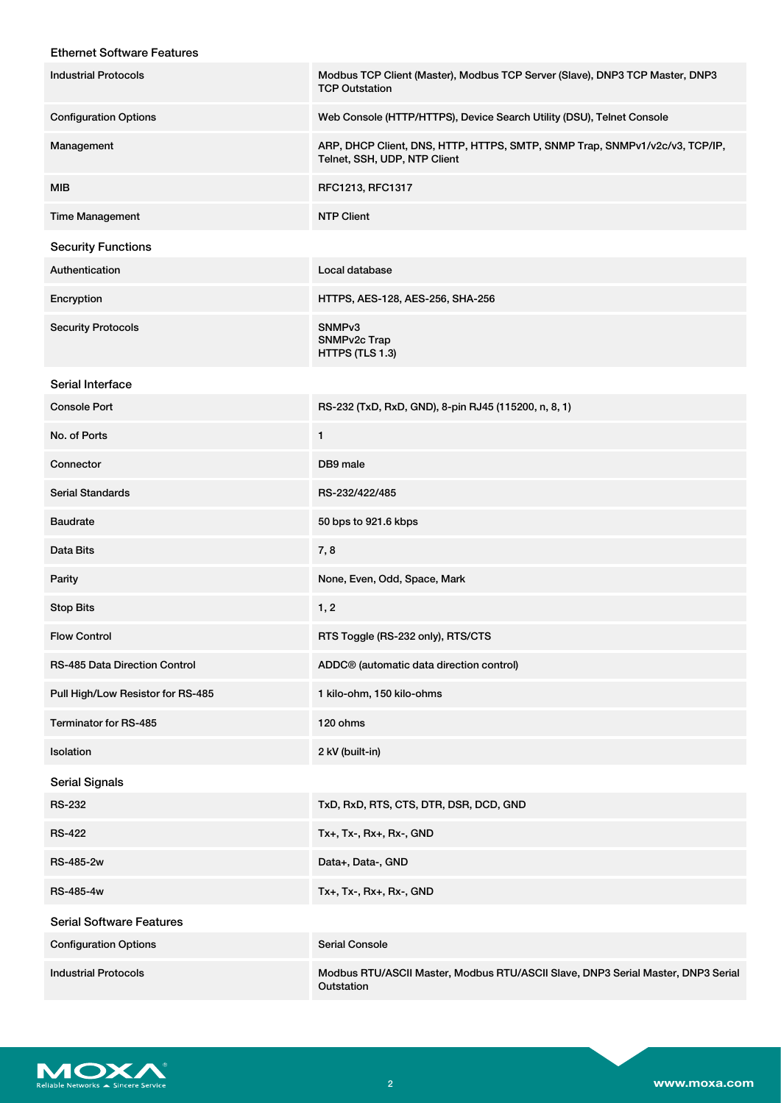## Ethernet Software Features

| <b>Industrial Protocols</b>       | Modbus TCP Client (Master), Modbus TCP Server (Slave), DNP3 TCP Master, DNP3<br><b>TCP Outstation</b>       |
|-----------------------------------|-------------------------------------------------------------------------------------------------------------|
| <b>Configuration Options</b>      | Web Console (HTTP/HTTPS), Device Search Utility (DSU), Telnet Console                                       |
| Management                        | ARP, DHCP Client, DNS, HTTP, HTTPS, SMTP, SNMP Trap, SNMPv1/v2c/v3, TCP/IP,<br>Telnet, SSH, UDP, NTP Client |
| MIB                               | RFC1213, RFC1317                                                                                            |
| <b>Time Management</b>            | <b>NTP Client</b>                                                                                           |
| <b>Security Functions</b>         |                                                                                                             |
| Authentication                    | Local database                                                                                              |
| Encryption                        | HTTPS, AES-128, AES-256, SHA-256                                                                            |
| <b>Security Protocols</b>         | SNMP <sub>v3</sub><br>SNMPv2c Trap<br>HTTPS (TLS 1.3)                                                       |
| Serial Interface                  |                                                                                                             |
| <b>Console Port</b>               | RS-232 (TxD, RxD, GND), 8-pin RJ45 (115200, n, 8, 1)                                                        |
| No. of Ports                      | 1                                                                                                           |
| Connector                         | DB9 male                                                                                                    |
| <b>Serial Standards</b>           | RS-232/422/485                                                                                              |
| <b>Baudrate</b>                   | 50 bps to 921.6 kbps                                                                                        |
| Data Bits                         | 7,8                                                                                                         |
| Parity                            | None, Even, Odd, Space, Mark                                                                                |
| <b>Stop Bits</b>                  | 1, 2                                                                                                        |
| <b>Flow Control</b>               | RTS Toggle (RS-232 only), RTS/CTS                                                                           |
| RS-485 Data Direction Control     | ADDC <sup>®</sup> (automatic data direction control)                                                        |
| Pull High/Low Resistor for RS-485 | 1 kilo-ohm, 150 kilo-ohms                                                                                   |
| Terminator for RS-485             | 120 ohms                                                                                                    |
| Isolation                         | 2 kV (built-in)                                                                                             |
| <b>Serial Signals</b>             |                                                                                                             |
| <b>RS-232</b>                     | TxD, RxD, RTS, CTS, DTR, DSR, DCD, GND                                                                      |
| <b>RS-422</b>                     | Tx+, Tx-, Rx+, Rx-, GND                                                                                     |
| RS-485-2w                         | Data+, Data-, GND                                                                                           |
| RS-485-4w                         | Tx+, Tx-, Rx+, Rx-, GND                                                                                     |
| <b>Serial Software Features</b>   |                                                                                                             |
| <b>Configuration Options</b>      | <b>Serial Console</b>                                                                                       |
| <b>Industrial Protocols</b>       | Modbus RTU/ASCII Master, Modbus RTU/ASCII Slave, DNP3 Serial Master, DNP3 Serial<br>Outstation              |

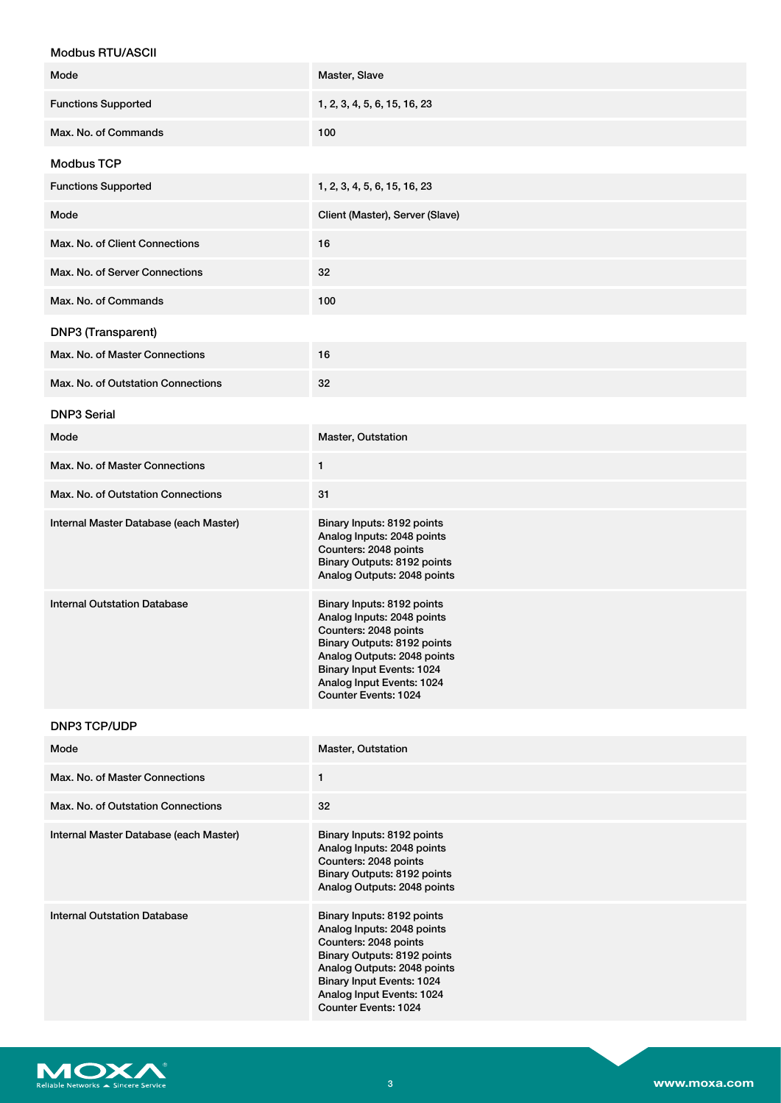| <b>Modbus RTU/ASCII</b>                |                                                                                                                                                                                                                                          |
|----------------------------------------|------------------------------------------------------------------------------------------------------------------------------------------------------------------------------------------------------------------------------------------|
| Mode                                   | Master, Slave                                                                                                                                                                                                                            |
| <b>Functions Supported</b>             | 1, 2, 3, 4, 5, 6, 15, 16, 23                                                                                                                                                                                                             |
| Max. No. of Commands                   | 100                                                                                                                                                                                                                                      |
| <b>Modbus TCP</b>                      |                                                                                                                                                                                                                                          |
| <b>Functions Supported</b>             | 1, 2, 3, 4, 5, 6, 15, 16, 23                                                                                                                                                                                                             |
| Mode                                   | Client (Master), Server (Slave)                                                                                                                                                                                                          |
| Max. No. of Client Connections         | 16                                                                                                                                                                                                                                       |
| Max. No. of Server Connections         | 32                                                                                                                                                                                                                                       |
| Max. No. of Commands                   | 100                                                                                                                                                                                                                                      |
| DNP3 (Transparent)                     |                                                                                                                                                                                                                                          |
| Max. No. of Master Connections         | 16                                                                                                                                                                                                                                       |
| Max. No. of Outstation Connections     | 32                                                                                                                                                                                                                                       |
| <b>DNP3 Serial</b>                     |                                                                                                                                                                                                                                          |
| Mode                                   | Master, Outstation                                                                                                                                                                                                                       |
| Max. No. of Master Connections         | 1                                                                                                                                                                                                                                        |
| Max. No. of Outstation Connections     | 31                                                                                                                                                                                                                                       |
| Internal Master Database (each Master) | Binary Inputs: 8192 points<br>Analog Inputs: 2048 points<br>Counters: 2048 points<br>Binary Outputs: 8192 points<br>Analog Outputs: 2048 points                                                                                          |
| <b>Internal Outstation Database</b>    | Binary Inputs: 8192 points<br>Analog Inputs: 2048 points<br>Counters: 2048 points<br>Binary Outputs: 8192 points<br>Analog Outputs: 2048 points<br><b>Binary Input Events: 1024</b><br>Analog Input Events: 1024<br>Counter Events: 1024 |
| <b>DNP3 TCP/UDP</b>                    |                                                                                                                                                                                                                                          |
| Mode                                   | Master, Outstation                                                                                                                                                                                                                       |
| Max. No. of Master Connections         | 1                                                                                                                                                                                                                                        |
| Max. No. of Outstation Connections     | 32                                                                                                                                                                                                                                       |
| Internal Master Database (each Master) | Binary Inputs: 8192 points<br>Analog Inputs: 2048 points<br>Counters: 2048 points<br>Binary Outputs: 8192 points<br>Analog Outputs: 2048 points                                                                                          |
| <b>Internal Outstation Database</b>    | Binary Inputs: 8192 points<br>Analog Inputs: 2048 points<br>Counters: 2048 points<br>Binary Outputs: 8192 points<br>Analog Outputs: 2048 points<br><b>Binary Input Events: 1024</b><br>Analog Input Events: 1024<br>Counter Events: 1024 |

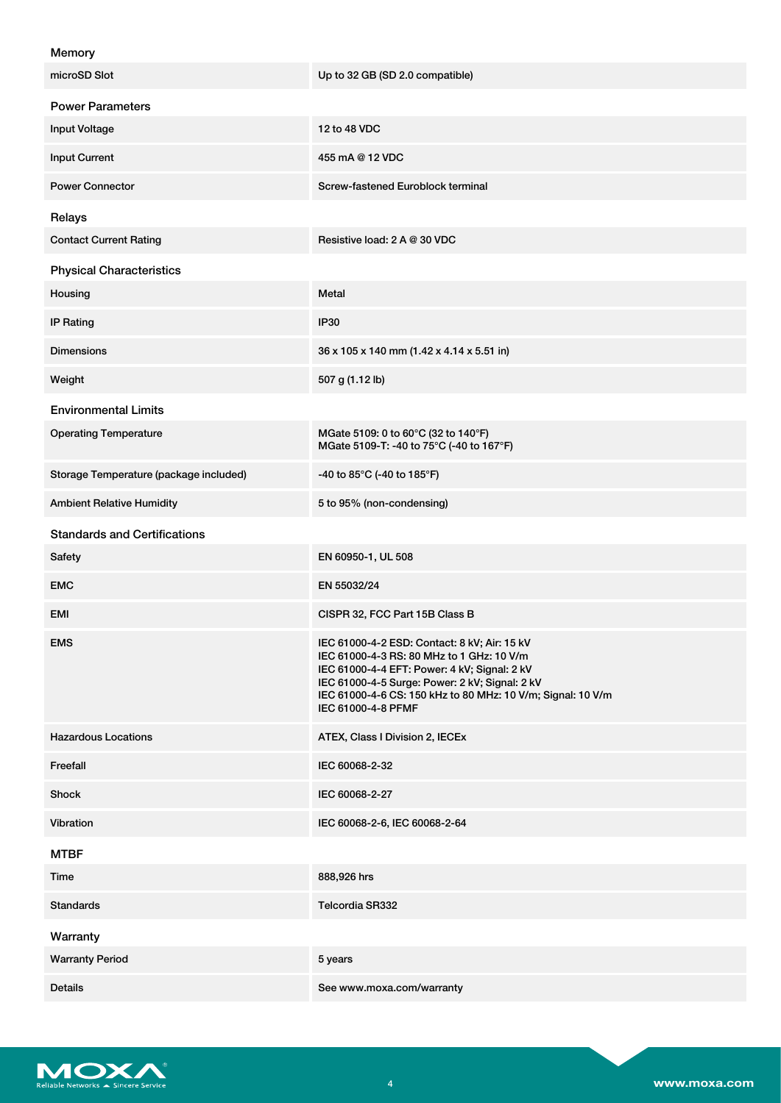| Memory                                 |                                                                                                                                                                                                                                                                                  |
|----------------------------------------|----------------------------------------------------------------------------------------------------------------------------------------------------------------------------------------------------------------------------------------------------------------------------------|
| microSD Slot                           | Up to 32 GB (SD 2.0 compatible)                                                                                                                                                                                                                                                  |
| <b>Power Parameters</b>                |                                                                                                                                                                                                                                                                                  |
| <b>Input Voltage</b>                   | 12 to 48 VDC                                                                                                                                                                                                                                                                     |
| <b>Input Current</b>                   | 455 mA @ 12 VDC                                                                                                                                                                                                                                                                  |
| <b>Power Connector</b>                 | Screw-fastened Euroblock terminal                                                                                                                                                                                                                                                |
| Relays                                 |                                                                                                                                                                                                                                                                                  |
| <b>Contact Current Rating</b>          | Resistive load: 2 A @ 30 VDC                                                                                                                                                                                                                                                     |
| <b>Physical Characteristics</b>        |                                                                                                                                                                                                                                                                                  |
| Housing                                | Metal                                                                                                                                                                                                                                                                            |
| <b>IP Rating</b>                       | <b>IP30</b>                                                                                                                                                                                                                                                                      |
| <b>Dimensions</b>                      | 36 x 105 x 140 mm (1.42 x 4.14 x 5.51 in)                                                                                                                                                                                                                                        |
| Weight                                 | 507 g (1.12 lb)                                                                                                                                                                                                                                                                  |
| <b>Environmental Limits</b>            |                                                                                                                                                                                                                                                                                  |
| <b>Operating Temperature</b>           | MGate 5109: 0 to 60°C (32 to 140°F)<br>MGate 5109-T: -40 to 75°C (-40 to 167°F)                                                                                                                                                                                                  |
| Storage Temperature (package included) | -40 to 85°C (-40 to 185°F)                                                                                                                                                                                                                                                       |
| <b>Ambient Relative Humidity</b>       | 5 to 95% (non-condensing)                                                                                                                                                                                                                                                        |
| <b>Standards and Certifications</b>    |                                                                                                                                                                                                                                                                                  |
| Safety                                 | EN 60950-1, UL 508                                                                                                                                                                                                                                                               |
| <b>EMC</b>                             | EN 55032/24                                                                                                                                                                                                                                                                      |
| EMI                                    | CISPR 32, FCC Part 15B Class B                                                                                                                                                                                                                                                   |
| <b>EMS</b>                             | IEC 61000-4-2 ESD: Contact: 8 kV; Air: 15 kV<br>IEC 61000-4-3 RS: 80 MHz to 1 GHz: 10 V/m<br>IEC 61000-4-4 EFT: Power: 4 kV; Signal: 2 kV<br>IEC 61000-4-5 Surge: Power: 2 kV; Signal: 2 kV<br>IEC 61000-4-6 CS: 150 kHz to 80 MHz: 10 V/m; Signal: 10 V/m<br>IEC 61000-4-8 PFMF |
| <b>Hazardous Locations</b>             | ATEX, Class I Division 2, IECEx                                                                                                                                                                                                                                                  |
| Freefall                               | IEC 60068-2-32                                                                                                                                                                                                                                                                   |
| <b>Shock</b>                           | IEC 60068-2-27                                                                                                                                                                                                                                                                   |
| Vibration                              | IEC 60068-2-6, IEC 60068-2-64                                                                                                                                                                                                                                                    |
| <b>MTBF</b>                            |                                                                                                                                                                                                                                                                                  |
| Time                                   | 888,926 hrs                                                                                                                                                                                                                                                                      |
| <b>Standards</b>                       | Telcordia SR332                                                                                                                                                                                                                                                                  |
| Warranty                               |                                                                                                                                                                                                                                                                                  |
| <b>Warranty Period</b>                 | 5 years                                                                                                                                                                                                                                                                          |
| <b>Details</b>                         | See www.moxa.com/warranty                                                                                                                                                                                                                                                        |

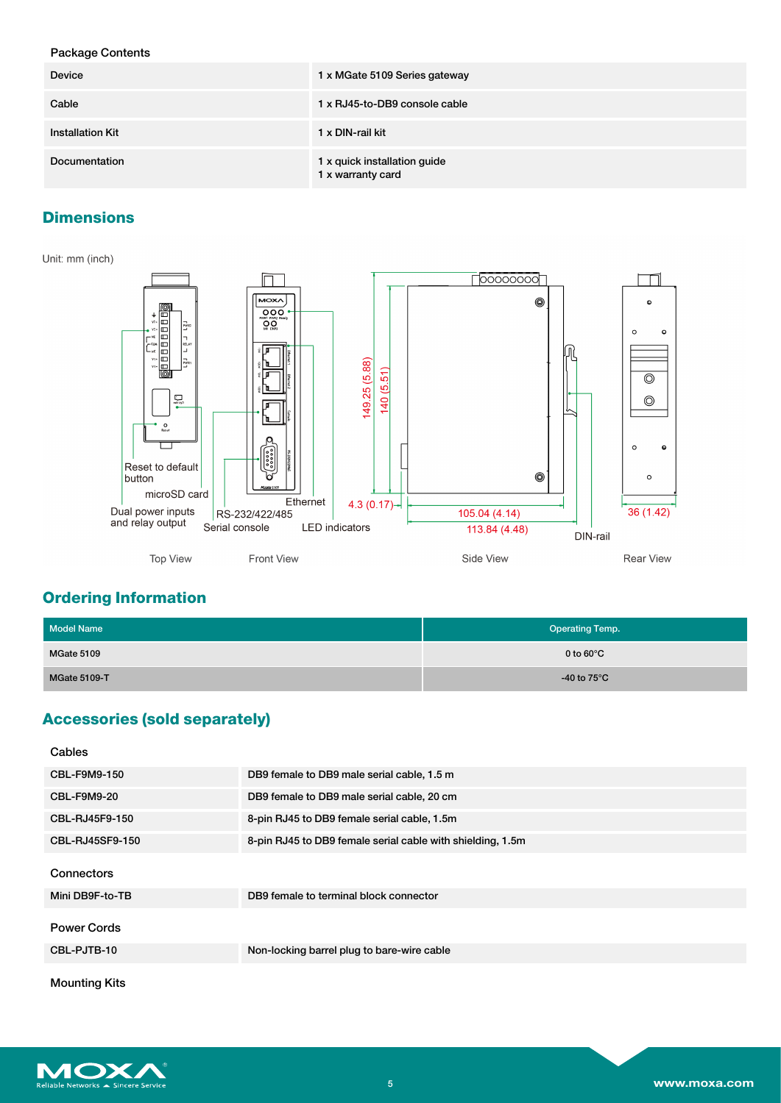## Package Contents

| <b>Device</b>           | 1 x MGate 5109 Series gateway                     |
|-------------------------|---------------------------------------------------|
| Cable                   | 1 x RJ45-to-DB9 console cable                     |
| <b>Installation Kit</b> | 1 x DIN-rail kit                                  |
| Documentation           | 1 x quick installation guide<br>1 x warranty card |

## **Dimensions**

#### Unit: mm (inch)



## **Ordering Information**

| <b>Model Name</b>   | <b>Operating Temp.</b> |
|---------------------|------------------------|
| MGate 5109          | 0 to $60^{\circ}$ C    |
| <b>MGate 5109-T</b> | -40 to $75^{\circ}$ C  |

# **Accessories (sold separately)**

| Cables               |                                                            |
|----------------------|------------------------------------------------------------|
| CBL-F9M9-150         | DB9 female to DB9 male serial cable, 1.5 m                 |
| <b>CBL-F9M9-20</b>   | DB9 female to DB9 male serial cable, 20 cm                 |
| CBL-RJ45F9-150       | 8-pin RJ45 to DB9 female serial cable, 1.5m                |
| CBL-RJ45SF9-150      | 8-pin RJ45 to DB9 female serial cable with shielding, 1.5m |
| Connectors           |                                                            |
| Mini DB9F-to-TB      | DB9 female to terminal block connector                     |
| <b>Power Cords</b>   |                                                            |
| CBL-PJTB-10          | Non-locking barrel plug to bare-wire cable                 |
| <b>Mounting Kits</b> |                                                            |